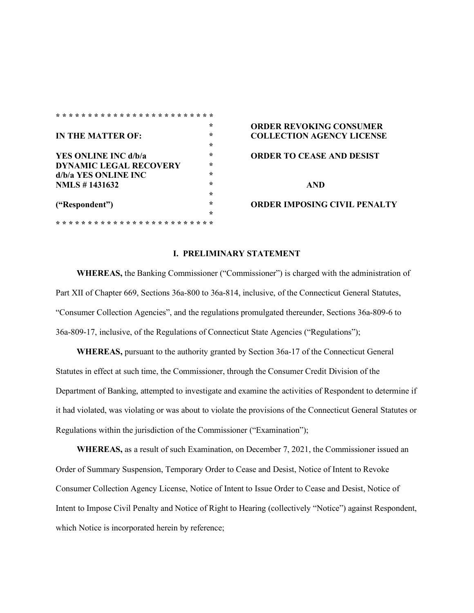|                               | $\star$ | <b>ORDER REVOKIN</b>  |
|-------------------------------|---------|-----------------------|
| IN THE MATTER OF:             | ÷       | <b>COLLECTION AG</b>  |
|                               | ÷       |                       |
| YES ONLINE INC d/b/a          | ÷       | <b>ORDER TO CEASE</b> |
| <b>DYNAMIC LEGAL RECOVERY</b> | ÷       |                       |
| d/b/a YES ONLINE INC          | ÷       |                       |
| <b>NMLS</b> #1431632          | ÷       | AND                   |
|                               | $\star$ |                       |
| ("Respondent")                | ÷       | <b>ORDER IMPOSING</b> |
|                               | ÷       |                       |
|                               |         |                       |

# **\* ORDER REVOKING CONSUMER IN THE MATTER OF LICENSE ORDER TO CEASE AND DESIST**

### **("Respondent") \* ORDER IMPOSING CIVIL PENALTY**

#### **I. PRELIMINARY STATEMENT**

**WHEREAS,** the Banking Commissioner ("Commissioner") is charged with the administration of Part XII of Chapter 669, Sections 36a-800 to 36a-814, inclusive, of the Connecticut General Statutes, "Consumer Collection Agencies", and the regulations promulgated thereunder, Sections 36a-809-6 to 36a-809-17, inclusive, of the Regulations of Connecticut State Agencies ("Regulations");

**WHEREAS,** pursuant to the authority granted by Section 36a-17 of the Connecticut General Statutes in effect at such time, the Commissioner, through the Consumer Credit Division of the Department of Banking, attempted to investigate and examine the activities of Respondent to determine if it had violated, was violating or was about to violate the provisions of the Connecticut General Statutes or Regulations within the jurisdiction of the Commissioner ("Examination");

**WHEREAS,** as a result of such Examination, on December 7, 2021, the Commissioner issued an Order of Summary Suspension, Temporary Order to Cease and Desist, Notice of Intent to Revoke Consumer Collection Agency License, Notice of Intent to Issue Order to Cease and Desist, Notice of Intent to Impose Civil Penalty and Notice of Right to Hearing (collectively "Notice") against Respondent, which Notice is incorporated herein by reference;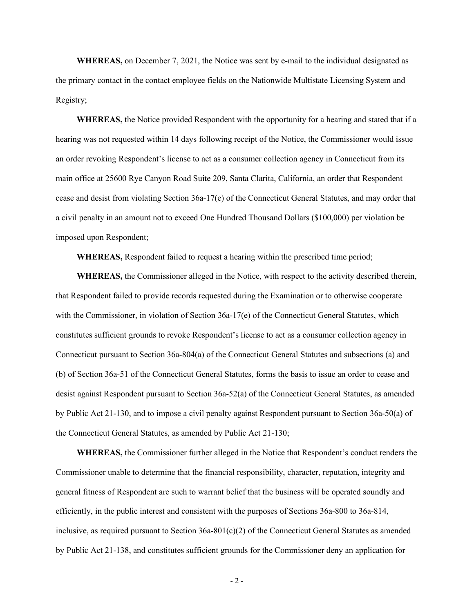**WHEREAS,** on December 7, 2021, the Notice was sent by e-mail to the individual designated as the primary contact in the contact employee fields on the Nationwide Multistate Licensing System and Registry;

**WHEREAS,** the Notice provided Respondent with the opportunity for a hearing and stated that if a hearing was not requested within 14 days following receipt of the Notice, the Commissioner would issue an order revoking Respondent's license to act as a consumer collection agency in Connecticut from its main office at 25600 Rye Canyon Road Suite 209, Santa Clarita, California, an order that Respondent cease and desist from violating Section 36a-17(e) of the Connecticut General Statutes, and may order that a civil penalty in an amount not to exceed One Hundred Thousand Dollars (\$100,000) per violation be imposed upon Respondent;

**WHEREAS,** Respondent failed to request a hearing within the prescribed time period;

**WHEREAS,** the Commissioner alleged in the Notice, with respect to the activity described therein, that Respondent failed to provide records requested during the Examination or to otherwise cooperate with the Commissioner, in violation of Section 36a-17(e) of the Connecticut General Statutes, which constitutes sufficient grounds to revoke Respondent's license to act as a consumer collection agency in Connecticut pursuant to Section 36a-804(a) of the Connecticut General Statutes and subsections (a) and (b) of Section 36a-51 of the Connecticut General Statutes, forms the basis to issue an order to cease and desist against Respondent pursuant to Section 36a-52(a) of the Connecticut General Statutes, as amended by Public Act 21-130, and to impose a civil penalty against Respondent pursuant to Section 36a-50(a) of the Connecticut General Statutes, as amended by Public Act 21-130;

**WHEREAS,** the Commissioner further alleged in the Notice that Respondent's conduct renders the Commissioner unable to determine that the financial responsibility, character, reputation, integrity and general fitness of Respondent are such to warrant belief that the business will be operated soundly and efficiently, in the public interest and consistent with the purposes of Sections 36a-800 to 36a-814, inclusive, as required pursuant to Section  $36a-801(c)(2)$  of the Connecticut General Statutes as amended by Public Act 21-138, and constitutes sufficient grounds for the Commissioner deny an application for

- 2 -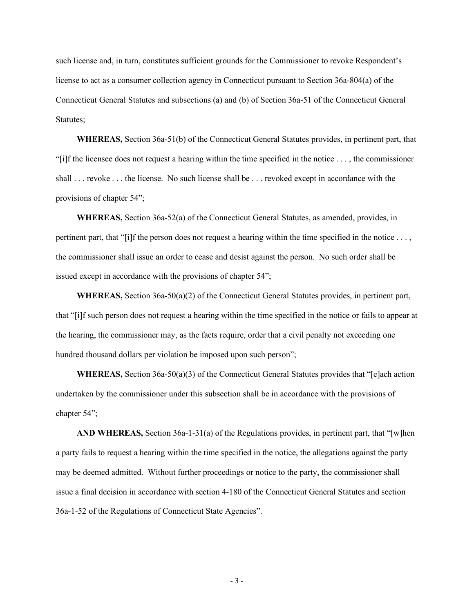such license and, in turn, constitutes sufficient grounds for the Commissioner to revoke Respondent's license to act as a consumer collection agency in Connecticut pursuant to Section 36a-804(a) of the Connecticut General Statutes and subsections (a) and (b) of Section 36a-51 of the Connecticut General Statutes;

**WHEREAS,** Section 36a-51(b) of the Connecticut General Statutes provides, in pertinent part, that "[i]f the licensee does not request a hearing within the time specified in the notice . . . , the commissioner shall . . . revoke . . . the license. No such license shall be . . . revoked except in accordance with the provisions of chapter 54";

**WHEREAS,** Section 36a-52(a) of the Connecticut General Statutes, as amended, provides, in pertinent part, that "[i]f the person does not request a hearing within the time specified in the notice . . . , the commissioner shall issue an order to cease and desist against the person. No such order shall be issued except in accordance with the provisions of chapter 54";

**WHEREAS,** Section 36a-50(a)(2) of the Connecticut General Statutes provides, in pertinent part, that "[i]f such person does not request a hearing within the time specified in the notice or fails to appear at the hearing, the commissioner may, as the facts require, order that a civil penalty not exceeding one hundred thousand dollars per violation be imposed upon such person";

**WHEREAS,** Section 36a-50(a)(3) of the Connecticut General Statutes provides that "[e]ach action undertaken by the commissioner under this subsection shall be in accordance with the provisions of chapter 54";

**AND WHEREAS,** Section 36a-1-31(a) of the Regulations provides, in pertinent part, that "[w]hen a party fails to request a hearing within the time specified in the notice, the allegations against the party may be deemed admitted. Without further proceedings or notice to the party, the commissioner shall issue a final decision in accordance with section 4-180 of the Connecticut General Statutes and section 36a-1-52 of the Regulations of Connecticut State Agencies".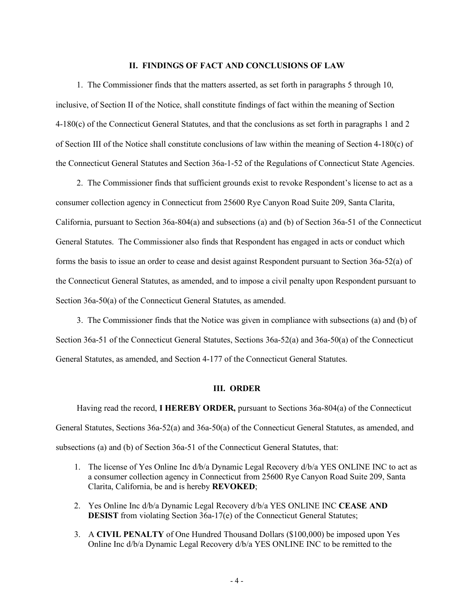## **II. FINDINGS OF FACT AND CONCLUSIONS OF LAW**

1. The Commissioner finds that the matters asserted, as set forth in paragraphs 5 through 10, inclusive, of Section II of the Notice, shall constitute findings of fact within the meaning of Section 4-180(c) of the Connecticut General Statutes, and that the conclusions as set forth in paragraphs 1 and 2 of Section III of the Notice shall constitute conclusions of law within the meaning of Section 4-180(c) of the Connecticut General Statutes and Section 36a-1-52 of the Regulations of Connecticut State Agencies.

2. The Commissioner finds that sufficient grounds exist to revoke Respondent's license to act as a consumer collection agency in Connecticut from 25600 Rye Canyon Road Suite 209, Santa Clarita, California, pursuant to Section 36a-804(a) and subsections (a) and (b) of Section 36a-51 of the Connecticut General Statutes. The Commissioner also finds that Respondent has engaged in acts or conduct which forms the basis to issue an order to cease and desist against Respondent pursuant to Section 36a-52(a) of the Connecticut General Statutes, as amended, and to impose a civil penalty upon Respondent pursuant to Section 36a-50(a) of the Connecticut General Statutes, as amended.

3. The Commissioner finds that the Notice was given in compliance with subsections (a) and (b) of Section 36a-51 of the Connecticut General Statutes, Sections 36a-52(a) and 36a-50(a) of the Connecticut General Statutes, as amended, and Section 4-177 of the Connecticut General Statutes.

#### **III. ORDER**

Having read the record, **I HEREBY ORDER,** pursuant to Sections 36a-804(a) of the Connecticut General Statutes, Sections 36a-52(a) and 36a-50(a) of the Connecticut General Statutes, as amended, and subsections (a) and (b) of Section 36a-51 of the Connecticut General Statutes, that:

- 1. The license of Yes Online Inc d/b/a Dynamic Legal Recovery d/b/a YES ONLINE INC to act as a consumer collection agency in Connecticut from 25600 Rye Canyon Road Suite 209, Santa Clarita, California, be and is hereby **REVOKED**;
- 2. Yes Online Inc d/b/a Dynamic Legal Recovery d/b/a YES ONLINE INC **CEASE AND DESIST** from violating Section 36a-17(e) of the Connecticut General Statutes;
- 3. A **CIVIL PENALTY** of One Hundred Thousand Dollars (\$100,000) be imposed upon Yes Online Inc d/b/a Dynamic Legal Recovery d/b/a YES ONLINE INC to be remitted to the